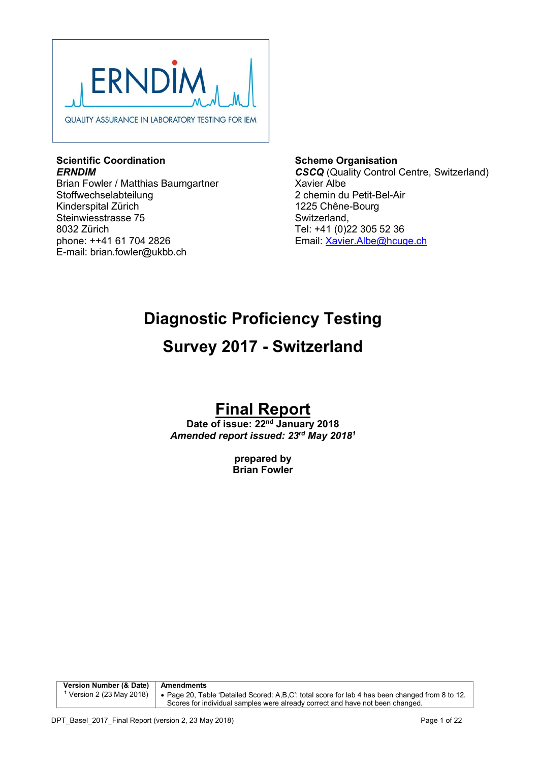

### **Scientific Coordination** *ERNDIM*

Brian Fowler / Matthias Baumgartner Stoffwechselabteilung Kinderspital Zürich Steinwiesstrasse 75 8032 Zürich phone: ++41 61 704 2826 E-mail: brian.fowler@ukbb.ch

**Scheme Organisation** *CSCQ* (Quality Control Centre, Switzerland) Xavier Albe 2 chemin du Petit-Bel-Air 1225 Chêne-Bourg Switzerland, Tel: +41 (0)22 305 52 36 Email: Xavier.Albe@hcuge.ch

# **Diagnostic Proficiency Testing**

# **Survey 2017 - Switzerland**

# **Final Report**

**Date of issue: 22nd January 2018** *Amended report issued: 23rd May 20181*

> **prepared by Brian Fowler**

**Version Number (& Date)** Amendments **<sup>1</sup>** Version 2 (23 May 2018) Page 20, Table 'Detailed Scored: A,B,C': total score for lab 4 has been changed from 8 to 12. Scores for individual samples were already correct and have not been changed.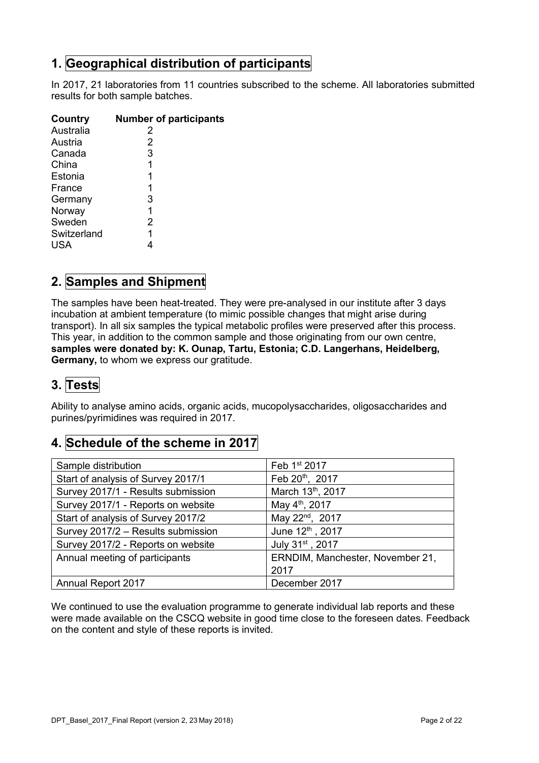# **1. Geographical distribution of participants**

In 2017, 21 laboratories from 11 countries subscribed to the scheme. All laboratories submitted results for both sample batches.

| Country     | <b>Number of participants</b> |
|-------------|-------------------------------|
| Australia   | 2                             |
| Austria     | 2                             |
| Canada      | 3                             |
| China       | 1                             |
| Estonia     | 1                             |
| France      | 1                             |
| Germany     | 3                             |
| Norway      | 1                             |
| Sweden      | 2                             |
| Switzerland |                               |
| USA         |                               |

# **2. Samples and Shipment**

The samples have been heat-treated. They were pre-analysed in our institute after 3 days incubation at ambient temperature (to mimic possible changes that might arise during transport). In all six samples the typical metabolic profiles were preserved after this process. This year, in addition to the common sample and those originating from our own centre, **samples were donated by: K. Ounap, Tartu, Estonia; C.D. Langerhans, Heidelberg, Germany,** to whom we express our gratitude.

# **3. Tests**

Ability to analyse amino acids, organic acids, mucopolysaccharides, oligosaccharides and purines/pyrimidines was required in 2017.

# **4. Schedule of the scheme in 2017**

| Sample distribution                | Feb 1st 2017                     |
|------------------------------------|----------------------------------|
| Start of analysis of Survey 2017/1 | Feb 20th, 2017                   |
| Survey 2017/1 - Results submission | March 13th, 2017                 |
| Survey 2017/1 - Reports on website | May 4 <sup>th</sup> , 2017       |
| Start of analysis of Survey 2017/2 | May 22 <sup>nd</sup> , 2017      |
| Survey 2017/2 - Results submission | June 12th, 2017                  |
| Survey 2017/2 - Reports on website | July 31st, 2017                  |
| Annual meeting of participants     | ERNDIM, Manchester, November 21, |
|                                    | 2017                             |
| <b>Annual Report 2017</b>          | December 2017                    |

We continued to use the evaluation programme to generate individual lab reports and these were made available on the CSCQ website in good time close to the foreseen dates. Feedback on the content and style of these reports is invited.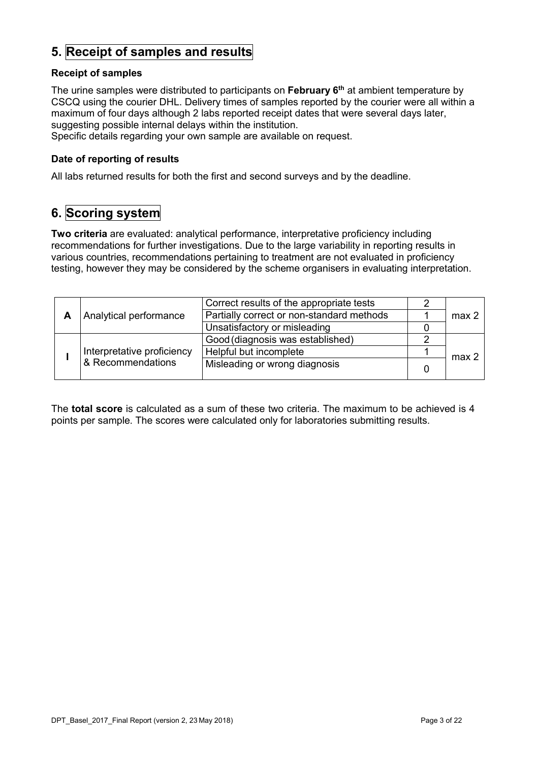# **5. Receipt of samples and results**

### **Receipt of samples**

The urine samples were distributed to participants on **February 6th** at ambient temperature by CSCQ using the courier DHL. Delivery times of samples reported by the courier were all within a maximum of four days although 2 labs reported receipt dates that were several days later, suggesting possible internal delays within the institution.

Specific details regarding your own sample are available on request.

#### **Date of reporting of results**

All labs returned results for both the first and second surveys and by the deadline.

# **6. Scoring system**

**Two criteria** are evaluated: analytical performance, interpretative proficiency including recommendations for further investigations. Due to the large variability in reporting results in various countries, recommendations pertaining to treatment are not evaluated in proficiency testing, however they may be considered by the scheme organisers in evaluating interpretation.

| Analytical performance |                            | Correct results of the appropriate tests  |                  |
|------------------------|----------------------------|-------------------------------------------|------------------|
|                        |                            | Partially correct or non-standard methods | max <sub>2</sub> |
|                        |                            | Unsatisfactory or misleading              |                  |
|                        |                            | Good (diagnosis was established)          |                  |
|                        | Interpretative proficiency | Helpful but incomplete                    | max 2            |
|                        | & Recommendations          | Misleading or wrong diagnosis             |                  |

The **total score** is calculated as a sum of these two criteria. The maximum to be achieved is 4 points per sample. The scores were calculated only for laboratories submitting results.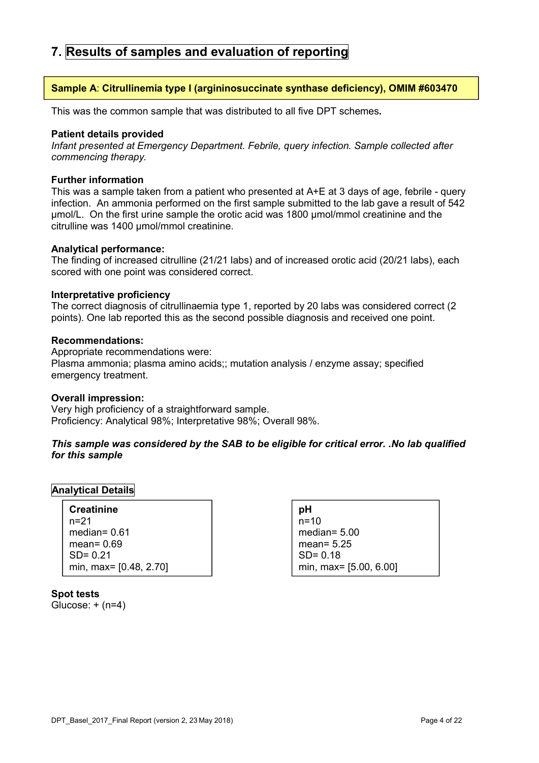# **7. Results of samples and evaluation of reporting**

#### **Sample A**: **Citrullinemia type I (argininosuccinate synthase deficiency), OMIM #603470**

This was the common sample that was distributed to all five DPT schemes**.**

#### **Patient details provided**

*Infant presented at Emergency Department. Febrile, query infection. Sample collected after commencing therapy.*

#### **Further information**

This was a sample taken from a patient who presented at A+E at 3 days of age, febrile - query infection. An ammonia performed on the first sample submitted to the lab gave a result of 542 µmol/L. On the first urine sample the orotic acid was 1800 µmol/mmol creatinine and the citrulline was 1400 µmol/mmol creatinine.

#### **Analytical performance:**

The finding of increased citrulline (21/21 labs) and of increased orotic acid (20/21 labs), each scored with one point was considered correct.

#### **Interpretative proficiency**

The correct diagnosis of citrullinaemia type 1, reported by 20 labs was considered correct (2 points). One lab reported this as the second possible diagnosis and received one point.

#### **Recommendations:**

Appropriate recommendations were: Plasma ammonia; plasma amino acids;; mutation analysis / enzyme assay; specified emergency treatment.

#### **Overall impression:**

Very high proficiency of a straightforward sample. Proficiency: Analytical 98%; Interpretative 98%; Overall 98%.

#### *This sample was considered by the SAB to be eligible for critical error. .No lab qualified for this sample*

#### **Analytical Details**

| <b>Creatinine</b>      |
|------------------------|
| $n = 21$               |
| median= $0.61$         |
| mean = $0.69$          |
| $SD = 0.21$            |
| min, max= [0.48, 2.70] |

**pH** n=10 median= 5.00 mean= 5.25 SD= 0.18 min, max= [5.00, 6.00]

**Spot tests**  Glucose:  $+$  (n=4)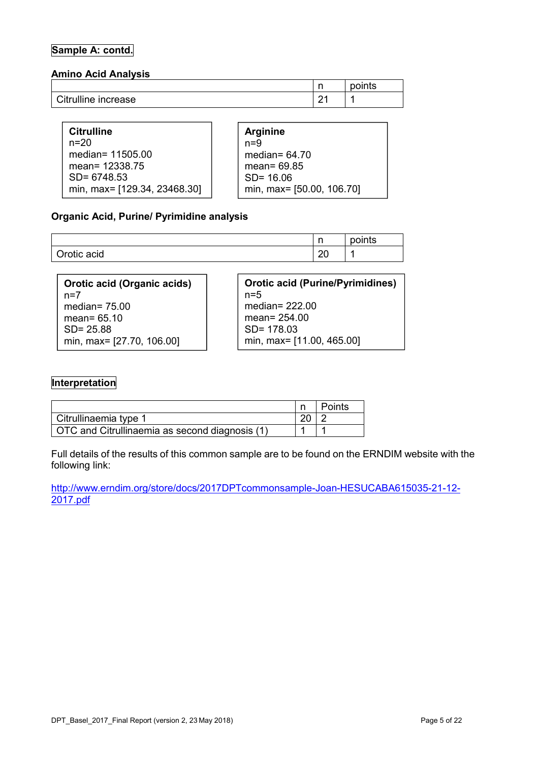### **Sample A: contd.**

#### **Amino Acid Analysis**

|                     | . . | points |
|---------------------|-----|--------|
| Citrulline increase | . . |        |

| <b>Citrulline</b>            | <b>Arginine</b> |                           |
|------------------------------|-----------------|---------------------------|
| $n = 20$                     | $n=9$           |                           |
| median= 11505.00             | median= $64.70$ |                           |
| mean= 12338.75               | mean= 69.85     |                           |
| $SD = 6748.53$               | $SD = 16.06$    |                           |
| min, max= [129.34, 23468.30] |                 | min, max= [50.00, 106.70] |

#### **Organic Acid, Purine/ Pyrimidine analysis**

|             | n<br>. .     | points |
|-------------|--------------|--------|
| Orotic acid | $\sim$<br>∠∪ |        |

| Orotic acid (Organic acids)<br>$n=7$ | <b>Orotic acid (Purine/Pyrimidines)</b><br>$n=5$ |
|--------------------------------------|--------------------------------------------------|
| median= $75.00$                      | median= $222.00$                                 |
| mean= $65.10$                        | mean= $254.00$                                   |
| $SD = 25.88$                         | $SD = 178.03$                                    |
| min, max= [27.70, 106.00]            | min, max= [11.00, 465.00]                        |

## **Interpretation**

|                                                | <b>Points</b> |
|------------------------------------------------|---------------|
| Citrullinaemia type 1                          |               |
| OTC and Citrullinaemia as second diagnosis (1) |               |

Full details of the results of this common sample are to be found on the ERNDIM website with the following link:

http://www.erndim.org/store/docs/2017DPTcommonsample-Joan-HESUCABA615035-21-12- 2017.pdf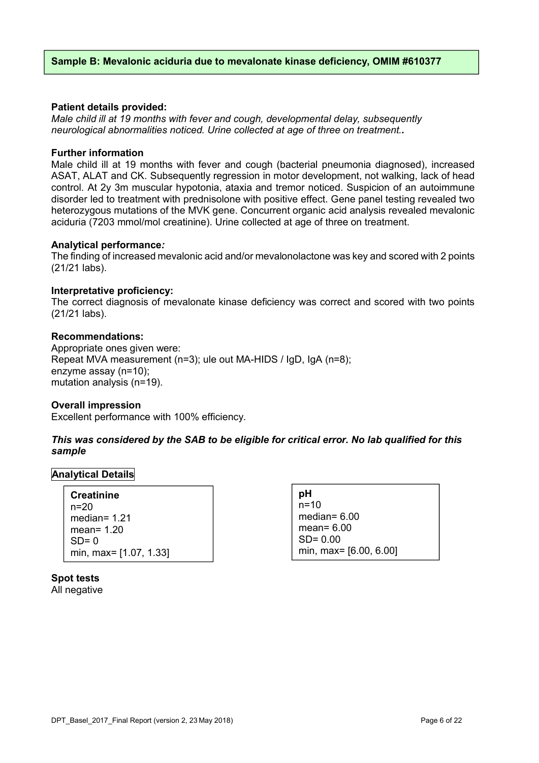#### **Sample B: Mevalonic aciduria due to mevalonate kinase deficiency, OMIM #610377**

#### **Patient details provided:**

*Male child ill at 19 months with fever and cough, developmental delay, subsequently neurological abnormalities noticed. Urine collected at age of three on treatment..*

#### **Further information**

Male child ill at 19 months with fever and cough (bacterial pneumonia diagnosed), increased ASAT, ALAT and CK. Subsequently regression in motor development, not walking, lack of head control. At 2y 3m muscular hypotonia, ataxia and tremor noticed. Suspicion of an autoimmune disorder led to treatment with prednisolone with positive effect. Gene panel testing revealed two heterozygous mutations of the MVK gene. Concurrent organic acid analysis revealed mevalonic aciduria (7203 mmol/mol creatinine). Urine collected at age of three on treatment.

#### **Analytical performance***:*

The finding of increased mevalonic acid and/or mevalonolactone was key and scored with 2 points (21/21 labs).

#### **Interpretative proficiency:**

The correct diagnosis of mevalonate kinase deficiency was correct and scored with two points (21/21 labs).

#### **Recommendations:**

Appropriate ones given were: Repeat MVA measurement (n=3); ule out MA-HIDS / IgD, IgA (n=8); enzyme assay (n=10); mutation analysis (n=19).

#### **Overall impression**

Excellent performance with 100% efficiency.

#### *This was considered by the SAB to be eligible for critical error. No lab qualified for this sample*

#### **Analytical Details**

| <b>Creatinine</b>      |
|------------------------|
| $n = 20$               |
| median= $1.21$         |
| mean= $1.20$           |
| $SD = 0$               |
| min, max= [1.07, 1.33] |

**pH** n=10 median= 6.00 mean= 6.00 SD= 0.00 min, max= [6.00, 6.00]

**Spot tests**  All negative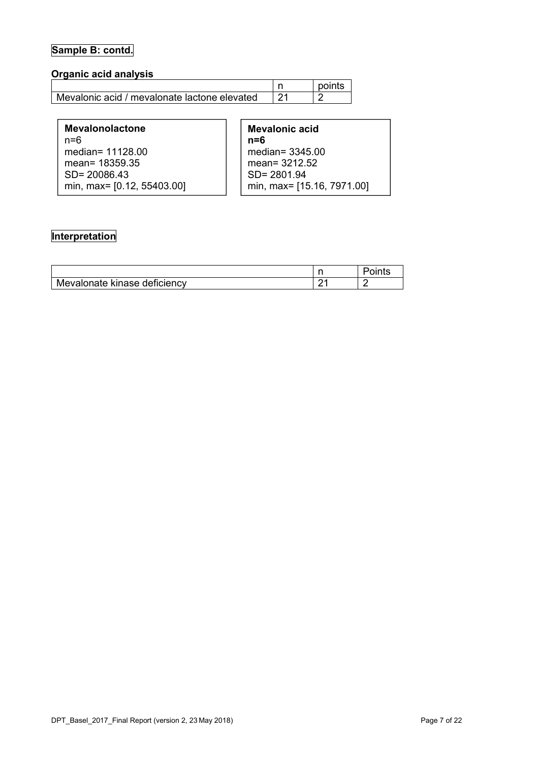# **Sample B: contd.**

## **Organic acid analysis**

|                                                | points |
|------------------------------------------------|--------|
| l Mevalonic acid / mevalonate lactone elevated |        |

| <b>Mevalonolactone</b><br>$n = 6$ | Me<br>$n=0$ |
|-----------------------------------|-------------|
| median= 11128.00                  | me          |
| mean= 18359.35                    | me          |
| $SD = 20086.43$                   | .SD         |
| min, max= [0.12, 55403.00]        |             |

| Mevalonic acid             |
|----------------------------|
| n=6                        |
| median= 3345.00            |
| mean= 3212.52              |
| SD= 2801.94                |
| min, max= [15.16, 7971.00] |

## **Interpretation**

|                              | 1 L J |
|------------------------------|-------|
| Mevalonate kinase deficiency |       |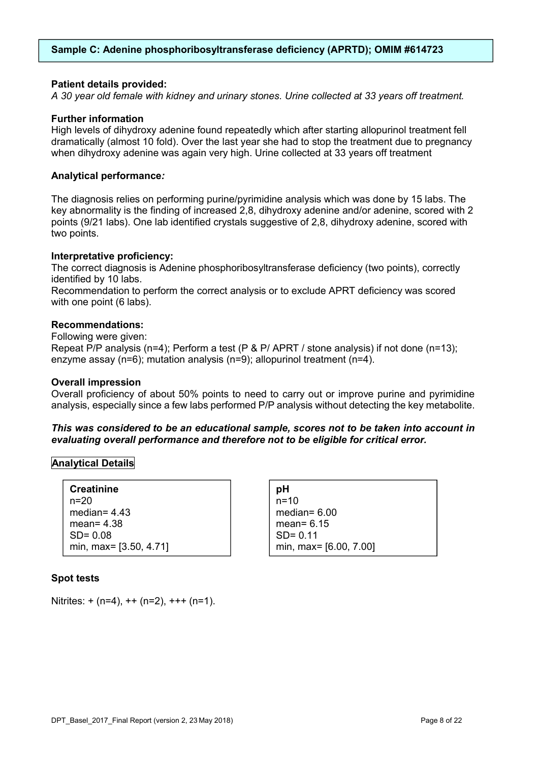#### **Sample C: Adenine phosphoribosyltransferase deficiency (APRTD); OMIM #614723**

#### **Patient details provided:**

*A 30 year old female with kidney and urinary stones. Urine collected at 33 years off treatment.*

#### **Further information**

High levels of dihydroxy adenine found repeatedly which after starting allopurinol treatment fell dramatically (almost 10 fold). Over the last year she had to stop the treatment due to pregnancy when dihydroxy adenine was again very high. Urine collected at 33 years off treatment

#### **Analytical performance***:*

The diagnosis relies on performing purine/pyrimidine analysis which was done by 15 labs. The key abnormality is the finding of increased 2,8, dihydroxy adenine and/or adenine, scored with 2 points (9/21 labs). One lab identified crystals suggestive of 2,8, dihydroxy adenine, scored with two points.

#### **Interpretative proficiency:**

The correct diagnosis is Adenine phosphoribosyltransferase deficiency (two points), correctly identified by 10 labs.

Recommendation to perform the correct analysis or to exclude APRT deficiency was scored with one point (6 labs).

#### **Recommendations:**

Following were given:

Repeat P/P analysis (n=4); Perform a test (P & P/ APRT / stone analysis) if not done (n=13); enzyme assay (n=6); mutation analysis (n=9); allopurinol treatment (n=4).

#### **Overall impression**

Overall proficiency of about 50% points to need to carry out or improve purine and pyrimidine analysis, especially since a few labs performed P/P analysis without detecting the key metabolite.

#### *This was considered to be an educational sample, scores not to be taken into account in evaluating overall performance and therefore not to be eligible for critical error.*

#### **Analytical Details**

| <b>Creatinine</b>      |
|------------------------|
| $n = 20$               |
| median= $4.43$         |
| mean = $4.38$          |
| $SD = 0.08$            |
| min, max= [3.50, 4.71] |

#### **Spot tests**

Nitrites:  $+(n=4)$ ,  $++ (n=2)$ ,  $++ (n=1)$ .

| рH                     |
|------------------------|
| $n=10$                 |
| median= $6.00$         |
| mean= $6.15$           |
| $SD = 0.11$            |
| min, max= [6.00, 7.00] |
|                        |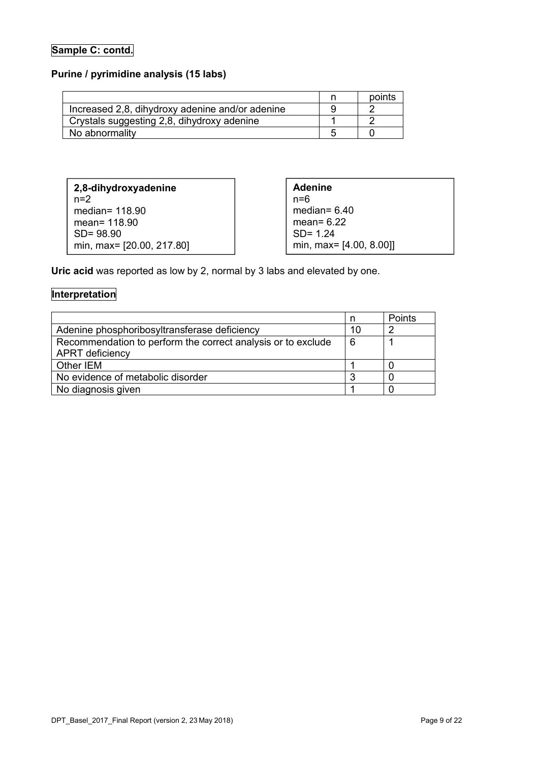## **Sample C: contd.**

## **Purine / pyrimidine analysis (15 labs)**

|                                                 | points |
|-------------------------------------------------|--------|
| Increased 2,8, dihydroxy adenine and/or adenine |        |
| Crystals suggesting 2,8, dihydroxy adenine      |        |
| No abnormality                                  |        |

| 2,8-dihydroxyadenine      |  |
|---------------------------|--|
| $n=2$                     |  |
| median= 118.90            |  |
| mean= 118.90              |  |
| $SD = 98.90$              |  |
| min, max= [20.00, 217.80] |  |

**Adenine** n=6 median= 6.40 mean= 6.22 SD= 1.24 min, max= [4.00, 8.00]]

**Uric acid** was reported as low by 2, normal by 3 labs and elevated by one.

## **Interpretation**

|                                                              |    | Points |
|--------------------------------------------------------------|----|--------|
| Adenine phosphoribosyltransferase deficiency                 | 10 | n      |
| Recommendation to perform the correct analysis or to exclude | 6  |        |
| <b>APRT</b> deficiency                                       |    |        |
| Other IEM                                                    |    |        |
| No evidence of metabolic disorder                            |    |        |
| No diagnosis given                                           |    |        |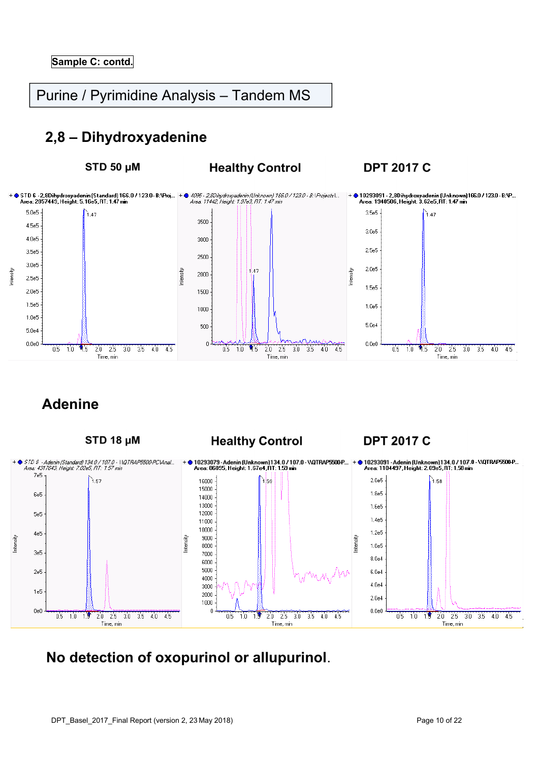# Purine / Pyrimidine Analysis – Tandem MS

# **2,8 – Dihydroxyadenine**

STD 50 µM

## **Healthy Control**

**DPT 2017 C** 



# **Adenine**



# **No detection of oxopurinol or allupurinol**.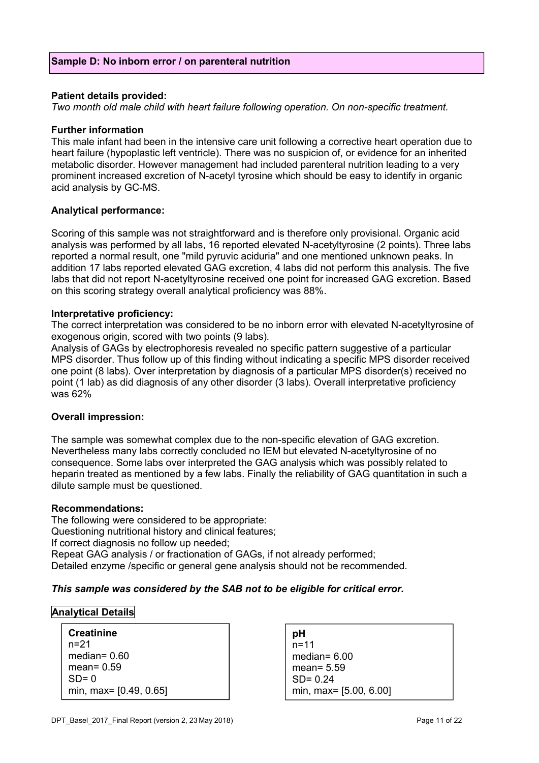#### **Patient details provided:**

*Two month old male child with heart failure following operation. On non-specific treatment.*

#### **Further information**

This male infant had been in the intensive care unit following a corrective heart operation due to heart failure (hypoplastic left ventricle). There was no suspicion of, or evidence for an inherited metabolic disorder. However management had included parenteral nutrition leading to a very prominent increased excretion of N-acetyl tyrosine which should be easy to identify in organic acid analysis by GC-MS.

#### **Analytical performance:**

Scoring of this sample was not straightforward and is therefore only provisional. Organic acid analysis was performed by all labs, 16 reported elevated N-acetyltyrosine (2 points). Three labs reported a normal result, one "mild pyruvic aciduria" and one mentioned unknown peaks. In addition 17 labs reported elevated GAG excretion, 4 labs did not perform this analysis. The five labs that did not report N-acetyltyrosine received one point for increased GAG excretion. Based on this scoring strategy overall analytical proficiency was 88%.

#### **Interpretative proficiency:**

The correct interpretation was considered to be no inborn error with elevated N-acetyltyrosine of exogenous origin, scored with two points (9 labs).

Analysis of GAGs by electrophoresis revealed no specific pattern suggestive of a particular MPS disorder. Thus follow up of this finding without indicating a specific MPS disorder received one point (8 labs). Over interpretation by diagnosis of a particular MPS disorder(s) received no point (1 lab) as did diagnosis of any other disorder (3 labs). Overall interpretative proficiency was 62%

#### **Overall impression:**

The sample was somewhat complex due to the non-specific elevation of GAG excretion. Nevertheless many labs correctly concluded no IEM but elevated N-acetyltyrosine of no consequence. Some labs over interpreted the GAG analysis which was possibly related to heparin treated as mentioned by a few labs. Finally the reliability of GAG quantitation in such a dilute sample must be questioned.

#### **Recommendations:**

The following were considered to be appropriate: Questioning nutritional history and clinical features; If correct diagnosis no follow up needed; Repeat GAG analysis / or fractionation of GAGs, if not already performed; Detailed enzyme /specific or general gene analysis should not be recommended.

#### *This sample was considered by the SAB not to be eligible for critical error.*

#### **Analytical Details**

| <b>Creatinine</b>      |  |
|------------------------|--|
| n=21                   |  |
| median= $0.60$         |  |
| mean= $0.59$           |  |
| $SD = 0$               |  |
| min, max= [0.49, 0.65] |  |

| рH                     |
|------------------------|
| $n = 11$               |
| median= $6.00$         |
| mean= $5.59$           |
| $SD = 0.24$            |
| min, max= [5.00, 6.00] |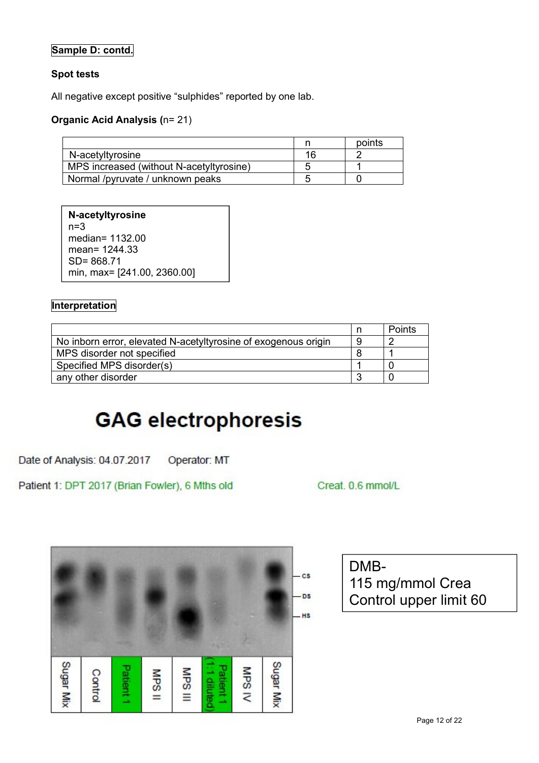## **Sample D: contd.**

#### **Spot tests**

All negative except positive "sulphides" reported by one lab.

#### **Organic Acid Analysis (**n= 21)

|                                          | points |
|------------------------------------------|--------|
| N-acetyltyrosine                         |        |
| MPS increased (without N-acetyltyrosine) |        |
| Normal /pyruvate / unknown peaks         |        |

**N-acetyltyrosine** n=3 median= 1132.00 mean= 1244.33 SD= 868.71 min, max= [241.00, 2360.00]

#### **Interpretation**

|                                                                | Points |
|----------------------------------------------------------------|--------|
| No inborn error, elevated N-acetyltyrosine of exogenous origin |        |
| MPS disorder not specified                                     |        |
| Specified MPS disorder(s)                                      |        |
| any other disorder                                             |        |

# **GAG electrophoresis**

Date of Analysis: 04.07.2017 Operator: MT

Patient 1: DPT 2017 (Brian Fowler), 6 Mths old

Creat. 0.6 mmol/L



DMB-115 mg/mmol Crea Control upper limit 60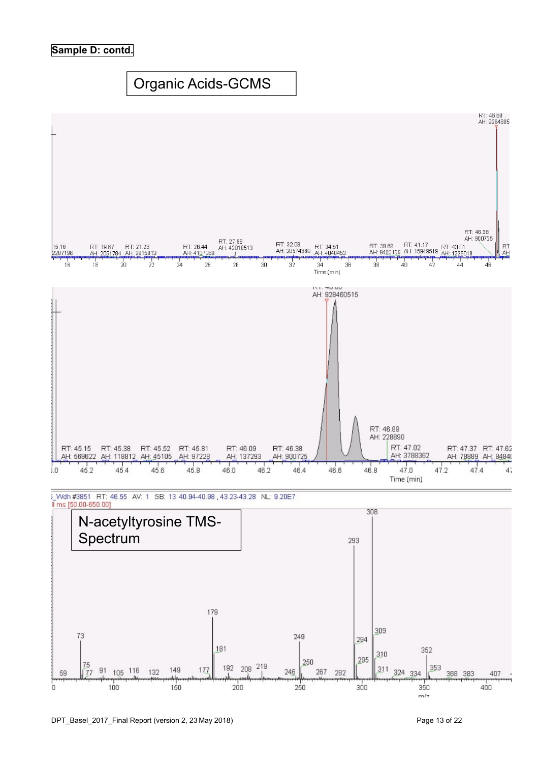#### **Sample D: contd.**

# Organic Acids-GCMS



Volh #3851 RT: 46.55 AV: 1 SB: 13 40.94-40.98 43.23-43.28 NL: 9.20E7 li ms [50.00-650.00]

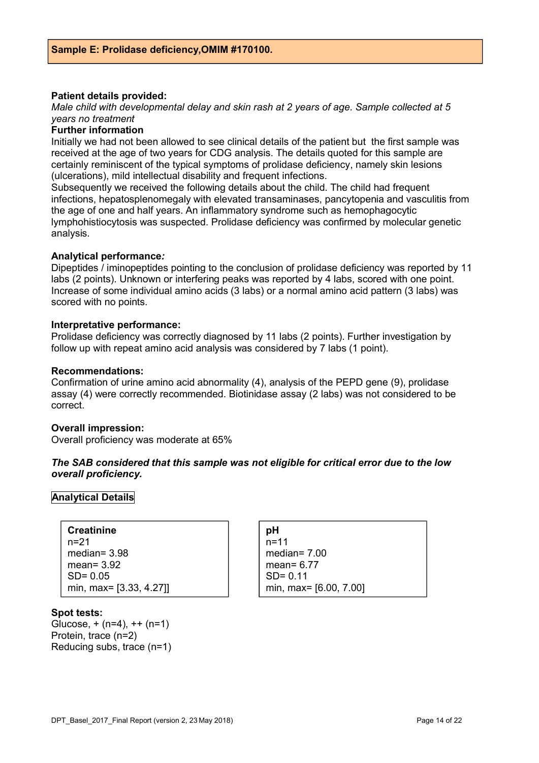#### **Patient details provided:**

*Male child with developmental delay and skin rash at 2 years of age. Sample collected at 5 years no treatment*

#### **Further information**

Initially we had not been allowed to see clinical details of the patient but the first sample was received at the age of two years for CDG analysis. The details quoted for this sample are certainly reminiscent of the typical symptoms of prolidase deficiency, namely skin lesions (ulcerations), mild intellectual disability and frequent infections.

Subsequently we received the following details about the child. The child had frequent infections, hepatosplenomegaly with elevated transaminases, pancytopenia and vasculitis from the age of one and half years. An inflammatory syndrome such as hemophagocytic lymphohistiocytosis was suspected. Prolidase deficiency was confirmed by molecular genetic analysis.

#### **Analytical performance***:*

Dipeptides / iminopeptides pointing to the conclusion of prolidase deficiency was reported by 11 labs (2 points). Unknown or interfering peaks was reported by 4 labs, scored with one point. Increase of some individual amino acids (3 labs) or a normal amino acid pattern (3 labs) was scored with no points.

#### **Interpretative performance:**

Prolidase deficiency was correctly diagnosed by 11 labs (2 points). Further investigation by follow up with repeat amino acid analysis was considered by 7 labs (1 point).

#### **Recommendations:**

Confirmation of urine amino acid abnormality (4), analysis of the PEPD gene (9), prolidase assay (4) were correctly recommended. Biotinidase assay (2 labs) was not considered to be correct.

#### **Overall impression:**

Overall proficiency was moderate at 65%

#### *The SAB considered that this sample was not eligible for critical error due to the low overall proficiency.*

#### **Analytical Details**

| <b>Creatinine</b>       |
|-------------------------|
| n=21                    |
| median= $3.98$          |
| mean= $3.92$            |
| $SD = 0.05$             |
| min, max= [3.33, 4.27]] |

#### **pH** n=11 median= 7.00 mean= 6.77 SD= 0.11 min, max= [6.00, 7.00]

#### **Spot tests:**

Glucose,  $+ (n=4)$ ,  $++ (n=1)$ Protein, trace (n=2) Reducing subs, trace (n=1)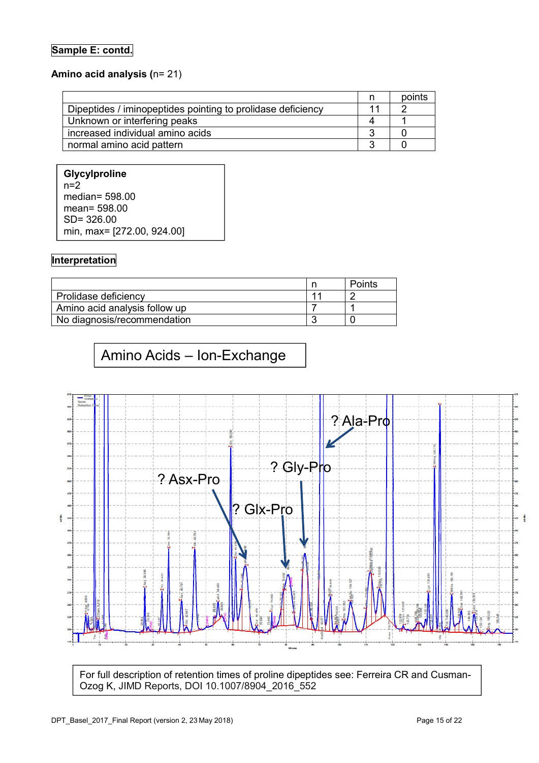## **Sample E: contd.**

## **Amino acid analysis (**n= 21)

|                                                             | n | points |
|-------------------------------------------------------------|---|--------|
| Dipeptides / iminopeptides pointing to prolidase deficiency |   |        |
| Unknown or interfering peaks                                |   |        |
| increased individual amino acids                            |   |        |
| normal amino acid pattern                                   |   |        |

| <b>Glycylproline</b>       |
|----------------------------|
| $n=2$                      |
| median= $598.00$           |
| mean = $598.00$            |
| $SD = 326.00$              |
| min, max= [272.00, 924.00] |

## **Interpretation**

|                               | ⊇oints |
|-------------------------------|--------|
| Prolidase deficiency          |        |
| Amino acid analysis follow up |        |
| No diagnosis/recommendation   |        |

# Amino Acids – Ion-Exchange



For full description of retention times of proline dipeptides see: Ferreira CR and Cusman-Ozog K, JIMD Reports, DOI 10.1007/8904\_2016\_552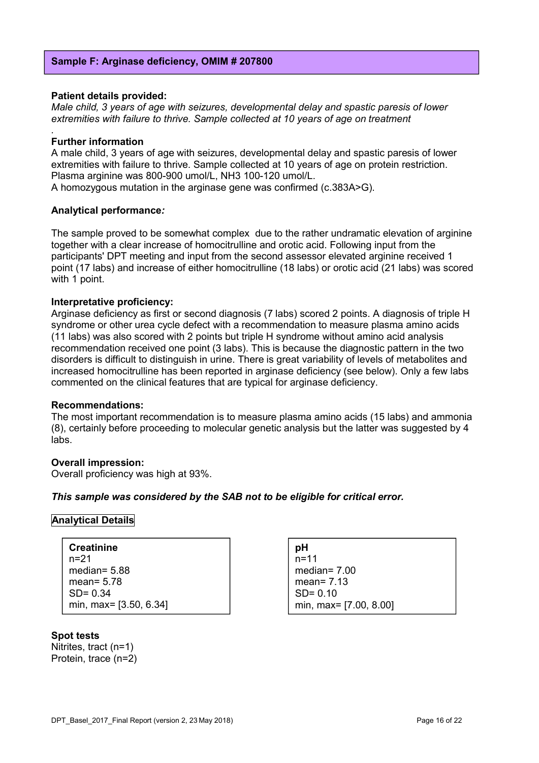#### **Sample F: Arginase deficiency, OMIM # 207800**

#### **Patient details provided:**

*Male child, 3 years of age with seizures, developmental delay and spastic paresis of lower extremities with failure to thrive. Sample collected at 10 years of age on treatment*

#### **Further information**

*.*

A male child, 3 years of age with seizures, developmental delay and spastic paresis of lower extremities with failure to thrive. Sample collected at 10 years of age on protein restriction. Plasma arginine was 800-900 umol/L, NH3 100-120 umol/L. A homozygous mutation in the arginase gene was confirmed (c.383A>G).

**Analytical performance***:*

The sample proved to be somewhat complex due to the rather undramatic elevation of arginine together with a clear increase of homocitrulline and orotic acid. Following input from the participants' DPT meeting and input from the second assessor elevated arginine received 1 point (17 labs) and increase of either homocitrulline (18 labs) or orotic acid (21 labs) was scored with 1 point.

#### **Interpretative proficiency:**

Arginase deficiency as first or second diagnosis (7 labs) scored 2 points. A diagnosis of triple H syndrome or other urea cycle defect with a recommendation to measure plasma amino acids (11 labs) was also scored with 2 points but triple H syndrome without amino acid analysis recommendation received one point (3 labs). This is because the diagnostic pattern in the two disorders is difficult to distinguish in urine. There is great variability of levels of metabolites and increased homocitrulline has been reported in arginase deficiency (see below). Only a few labs commented on the clinical features that are typical for arginase deficiency.

#### **Recommendations:**

The most important recommendation is to measure plasma amino acids (15 labs) and ammonia (8), certainly before proceeding to molecular genetic analysis but the latter was suggested by 4 labs.

#### **Overall impression:**

Overall proficiency was high at 93%.

#### *This sample was considered by the SAB not to be eligible for critical error.*

#### **Analytical Details**

**Creatinine** n=21 median= 5.88 mean= 5.78  $SD = 0.34$ min, max= [3.50, 6.34]

## **Spot tests**

Nitrites, tract (n=1) Protein, trace (n=2) **pH** n=11 median= 7.00 mean= 7.13  $SD = 0.10$ min, max= [7.00, 8.00]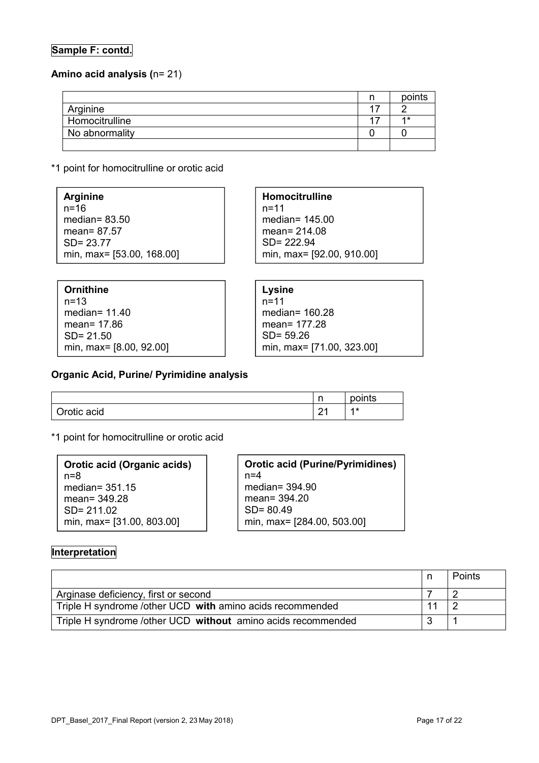## **Sample F: contd.**

#### **Amino acid analysis (**n= 21)

|                | points |
|----------------|--------|
| Arginine       |        |
| Homocitrulline | 4 *    |
| No abnormality |        |
|                |        |

\*1 point for homocitrulline or orotic acid

**Arginine**  $n=16$ median= 83.50 mean= 87.57 SD= 23.77 min, max= [53.00, 168.00]

**Ornithine** n=13 median= 11.40 mean= 17.86 SD= 21.50 min, max= [8.00, 92.00] **Homocitrulline** n=11 median= 145.00 mean= 214.08 SD= 222.94

min, max= [92.00, 910.00]

**Lysine** n=11 median= 160.28 mean= 177.28 SD= 59.26 min, max= [71.00, 323.00]

#### **Organic Acid, Purine/ Pyrimidine analysis**

|             | n<br>. . | points |
|-------------|----------|--------|
| Orotic acid | $\sim$   | $4*$   |

\*1 point for homocitrulline or orotic acid

| Orotic acid (Organic acids) |  |  |  |  |  |
|-----------------------------|--|--|--|--|--|
| n=8                         |  |  |  |  |  |
| median= $351.15$            |  |  |  |  |  |
| mean= 349.28                |  |  |  |  |  |
| $SD = 21102$                |  |  |  |  |  |
| min, max= [31.00, 803.00]   |  |  |  |  |  |

**Orotic acid (Purine/Pyrimidines)**  $n=4$ median= 394.90 mean= 394.20 SD= 80.49 min, max= [284.00, 503.00]

#### **Interpretation**

|                                                              | Points |
|--------------------------------------------------------------|--------|
| Arginase deficiency, first or second                         |        |
| Triple H syndrome /other UCD with amino acids recommended    |        |
| Triple H syndrome /other UCD without amino acids recommended |        |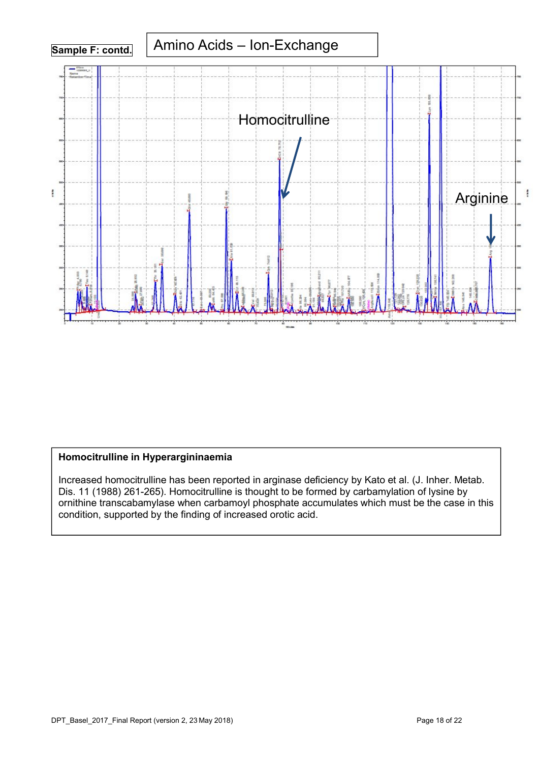

## **Homocitrulline in Hyperargininaemia**

Increased homocitrulline has been reported in arginase deficiency by Kato et al. (J. Inher. Metab. Dis. 11 (1988) 261-265). Homocitrulline is thought to be formed by carbamylation of lysine by ornithine transcabamylase when carbamoyl phosphate accumulates which must be the case in this condition, supported by the finding of increased orotic acid.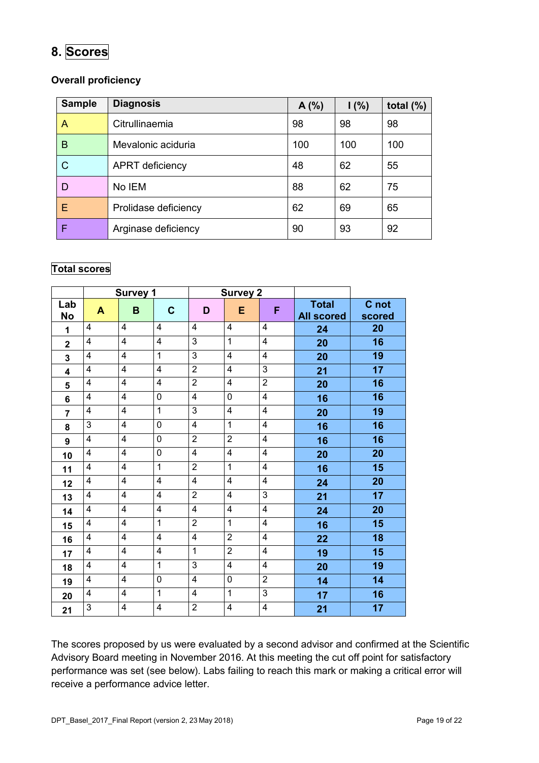# **8. Scores**

## **Overall proficiency**

| <b>Sample</b> | <b>Diagnosis</b>       | A(%) | 1(%) | total $(\%)$ |
|---------------|------------------------|------|------|--------------|
| A             | Citrullinaemia         | 98   | 98   | 98           |
| B             | Mevalonic aciduria     | 100  | 100  | 100          |
| C             | <b>APRT</b> deficiency | 48   | 62   | 55           |
| D             | No IEM                 | 88   | 62   | 75           |
| Е             | Prolidase deficiency   | 62   | 69   | 65           |
|               | Arginase deficiency    | 90   | 93   | 92           |

## **Total scores**

|                         |                         | <b>Survey 1</b>         |                         | <b>Survey 2</b>         |                         |                         |                   |        |
|-------------------------|-------------------------|-------------------------|-------------------------|-------------------------|-------------------------|-------------------------|-------------------|--------|
| Lab                     | $\blacktriangle$        | B                       | $\mathbf{C}$            | D                       | E                       | F                       | <b>Total</b>      | C not  |
| <b>No</b>               |                         |                         |                         |                         |                         |                         | <b>All scored</b> | scored |
| 1                       | 4                       | 4                       | $\overline{4}$          | 4                       | $\overline{\mathbf{4}}$ | $\overline{\mathbf{4}}$ | 24                | 20     |
| $\mathbf 2$             | 4                       | 4                       | 4                       | 3                       | $\mathbf{1}$            | 4                       | 20                | 16     |
| 3                       | $\overline{\mathbf{4}}$ | $\overline{\mathbf{4}}$ | $\mathbf{1}$            | 3                       | $\overline{4}$          | $\overline{\mathbf{4}}$ | 20                | 19     |
| $\overline{\mathbf{4}}$ | 4                       | 4                       | 4                       | $\overline{2}$          | $\overline{\mathbf{4}}$ | 3                       | 21                | 17     |
| 5                       | $\overline{4}$          | $\overline{4}$          | $\overline{4}$          | $\overline{2}$          | $\overline{4}$          | $\overline{2}$          | 20                | 16     |
| 6                       | $\overline{\mathbf{4}}$ | 4                       | 0                       | $\overline{\mathbf{4}}$ | 0                       | $\overline{\mathbf{4}}$ | 16                | 16     |
| $\overline{7}$          | $\overline{\mathbf{4}}$ | $\overline{4}$          | $\overline{1}$          | 3                       | $\overline{4}$          | $\overline{4}$          | 20                | 19     |
| 8                       | 3                       | 4                       | $\overline{0}$          | 4                       | $\mathbf{1}$            | 4                       | 16                | 16     |
| 9                       | $\overline{\mathbf{4}}$ | $\overline{4}$          | 0                       | $\overline{2}$          | $\overline{2}$          | $\overline{4}$          | 16                | 16     |
| 10                      | $\overline{\mathbf{4}}$ | 4                       | 0                       | 4                       | $\overline{\mathbf{4}}$ | $\overline{\mathbf{4}}$ | 20                | 20     |
| 11                      | 4                       | 4                       | $\mathbf{1}$            | $\overline{2}$          | $\mathbf{1}$            | $\overline{\mathbf{4}}$ | 16                | 15     |
| 12                      | $\overline{\mathbf{4}}$ | $\overline{4}$          | $\overline{4}$          | 4                       | $\overline{4}$          | $\overline{4}$          | 24                | 20     |
| 13                      | 4                       | $\overline{4}$          | $\overline{4}$          | $\overline{2}$          | $\overline{\mathbf{4}}$ | 3                       | 21                | 17     |
| 14                      | 4                       | 4                       | 4                       | 4                       | $\overline{\mathbf{4}}$ | 4                       | 24                | 20     |
| 15                      | $\overline{4}$          | $\overline{\mathbf{4}}$ | $\overline{1}$          | $\overline{2}$          | $\overline{1}$          | $\overline{\mathbf{4}}$ | 16                | 15     |
| 16                      | 4                       | 4                       | $\overline{\mathbf{4}}$ | 4                       | $\overline{2}$          | 4                       | 22                | 18     |
| 17                      | $\overline{\mathbf{4}}$ | $\overline{4}$          | $\overline{4}$          | $\mathbf{1}$            | $\overline{2}$          | $\overline{4}$          | 19                | 15     |
| 18                      | 4                       | 4                       | $\mathbf{1}$            | 3                       | $\overline{\mathbf{4}}$ | 4                       | 20                | 19     |
| 19                      | 4                       | 4                       | 0                       | 4                       | 0                       | $\overline{2}$          | 14                | 14     |
| 20                      | $\overline{\mathbf{4}}$ | $\overline{\mathbf{4}}$ | $\overline{1}$          | 4                       | $\overline{1}$          | $\overline{3}$          | 17                | 16     |
| 21                      | 3                       | 4                       | 4                       | $\overline{2}$          | $\overline{\mathbf{4}}$ | 4                       | 21                | 17     |

The scores proposed by us were evaluated by a second advisor and confirmed at the Scientific Advisory Board meeting in November 2016. At this meeting the cut off point for satisfactory performance was set (see below). Labs failing to reach this mark or making a critical error will receive a performance advice letter.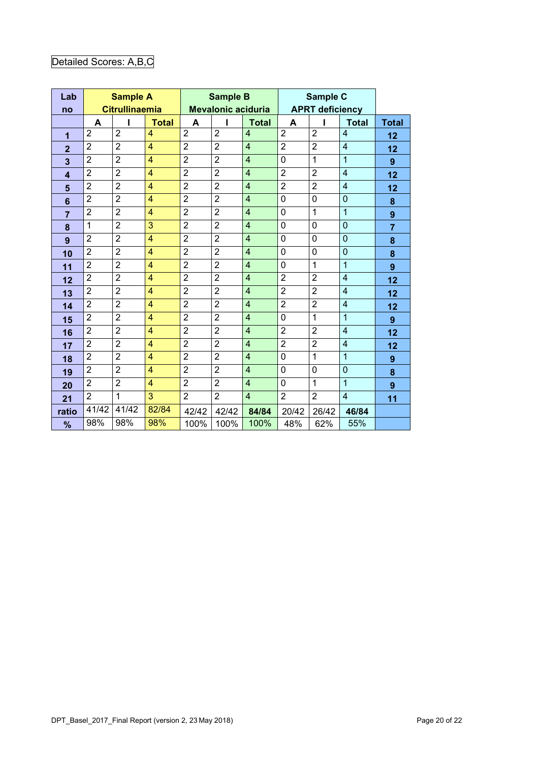# Detailed Scores: A,B,C

| Lab             |                | <b>Sample A</b>       |                         |                | <b>Sample B</b>           |                |                | Sample C               |                          |                  |  |
|-----------------|----------------|-----------------------|-------------------------|----------------|---------------------------|----------------|----------------|------------------------|--------------------------|------------------|--|
| no              |                | <b>Citrullinaemia</b> |                         |                | <b>Mevalonic aciduria</b> |                |                | <b>APRT deficiency</b> |                          |                  |  |
|                 | A              |                       | <b>Total</b>            | A              |                           | <b>Total</b>   | A              |                        | <b>Total</b>             | <b>Total</b>     |  |
| 1               | $\overline{2}$ | $\overline{2}$        | $\overline{4}$          | $\overline{2}$ | $\overline{2}$            | $\overline{4}$ | $\overline{2}$ | $\overline{2}$         | $\overline{4}$           | 12               |  |
| $\overline{2}$  | $\overline{2}$ | $\overline{2}$        | $\overline{4}$          | $\overline{2}$ | $\overline{2}$            | $\overline{4}$ | $\overline{2}$ | $\overline{2}$         | $\overline{\mathcal{A}}$ | 12               |  |
| 3               | $\overline{2}$ | $\overline{2}$        | $\overline{4}$          | $\overline{2}$ | $\overline{2}$            | $\overline{4}$ | $\mathbf 0$    | $\mathbf{1}$           | $\overline{1}$           | 9                |  |
| 4               | $\overline{2}$ | $\overline{2}$        | $\overline{4}$          | $\overline{2}$ | $\overline{2}$            | $\overline{4}$ | $\overline{2}$ | $\overline{2}$         | $\overline{4}$           | 12               |  |
| 5               | $\overline{2}$ | $\overline{2}$        | $\overline{4}$          | $\overline{2}$ | $\overline{2}$            | $\overline{4}$ | $\overline{2}$ | $\overline{2}$         | $\overline{4}$           | 12               |  |
| $6\phantom{1}6$ | $\overline{2}$ | $\overline{2}$        | $\overline{4}$          | $\overline{2}$ | $\overline{2}$            | $\overline{4}$ | $\mathbf 0$    | 0                      | $\overline{0}$           | 8                |  |
| $\overline{7}$  | $\overline{2}$ | $\overline{2}$        | $\overline{4}$          | $\overline{2}$ | $\overline{2}$            | $\overline{4}$ | $\mathbf 0$    | $\mathbf{1}$           | $\overline{1}$           | $\boldsymbol{9}$ |  |
| 8               | 1              | $\overline{2}$        | 3                       | $\overline{2}$ | $\overline{2}$            | $\overline{4}$ | $\mathbf 0$    | 0                      | $\overline{0}$           | $\overline{7}$   |  |
| 9               | $\overline{2}$ | $\overline{2}$        | $\overline{\mathbf{4}}$ | $\overline{2}$ | $\overline{2}$            | $\overline{4}$ | $\mathbf 0$    | 0                      | $\overline{0}$           | 8                |  |
| 10              | $\overline{2}$ | $\overline{2}$        | $\overline{4}$          | $\overline{2}$ | $\overline{2}$            | $\overline{4}$ | $\mathbf 0$    | $\overline{0}$         | $\overline{0}$           | 8                |  |
| 11              | $\overline{2}$ | $\overline{2}$        | $\overline{4}$          | $\overline{2}$ | $\overline{2}$            | $\overline{4}$ | $\mathbf 0$    | $\mathbf{1}$           | $\overline{1}$           | $\boldsymbol{9}$ |  |
| 12              | $\overline{2}$ | $\overline{2}$        | $\overline{4}$          | $\overline{2}$ | $\overline{2}$            | $\overline{4}$ | $\overline{2}$ | $\overline{2}$         | 4                        | 12               |  |
| 13              | $\overline{2}$ | $\overline{2}$        | $\overline{4}$          | $\overline{2}$ | $\overline{2}$            | $\overline{4}$ | $\overline{2}$ | $\overline{2}$         | $\overline{4}$           | 12               |  |
| 14              | $\overline{2}$ | $\overline{2}$        | $\overline{4}$          | $\overline{2}$ | $\overline{2}$            | $\overline{4}$ | $\overline{2}$ | $\overline{2}$         | $\overline{4}$           | 12               |  |
| 15              | $\overline{2}$ | $\overline{2}$        | $\overline{4}$          | $\overline{2}$ | $\overline{2}$            | $\overline{4}$ | $\overline{0}$ | $\mathbf{1}$           | $\overline{1}$           | 9                |  |
| 16              | $\overline{2}$ | $\overline{2}$        | $\overline{\mathbf{4}}$ | $\overline{2}$ | $\overline{2}$            | $\overline{4}$ | $\overline{2}$ | $\overline{2}$         | $\overline{4}$           | 12               |  |
| 17              | $\overline{2}$ | $\overline{2}$        | $\overline{4}$          | $\overline{2}$ | $\overline{2}$            | $\overline{4}$ | $\overline{2}$ | $\overline{2}$         | $\overline{4}$           | 12               |  |
| 18              | $\overline{2}$ | $\overline{2}$        | $\overline{4}$          | $\overline{2}$ | $\overline{2}$            | $\overline{4}$ | $\mathbf 0$    | 1                      | $\overline{1}$           | $\boldsymbol{9}$ |  |
| 19              | $\overline{2}$ | $\overline{2}$        | $\overline{\mathbf{4}}$ | $\overline{2}$ | $\overline{2}$            | $\overline{4}$ | 0              | 0                      | 0                        | 8                |  |
| 20              | $\overline{2}$ | $\overline{2}$        | $\overline{4}$          | $\overline{2}$ | $\overline{2}$            | $\overline{4}$ | $\mathbf 0$    | $\overline{1}$         | $\overline{1}$           | $\boldsymbol{9}$ |  |
| 21              | $\overline{2}$ | 1                     | 3                       | $\overline{2}$ | $\overline{2}$            | $\overline{4}$ | $\overline{2}$ | $\overline{2}$         | $\overline{4}$           | 11               |  |
| ratio           | 41/42          | 41/42                 | 82/84                   | 42/42          | 42/42                     | 84/84          | 20/42          | 26/42                  | 46/84                    |                  |  |
| %               | 98%            | 98%                   | 98%                     | 100%           | 100%                      | 100%           | 48%            | 62%                    | 55%                      |                  |  |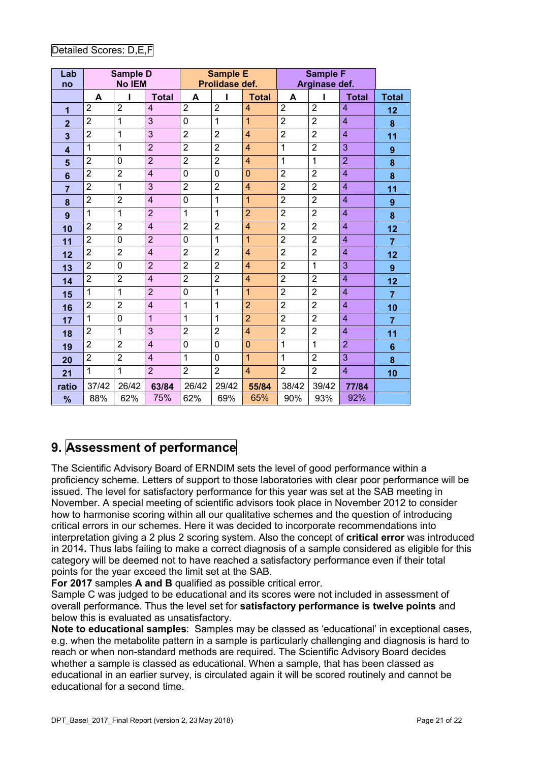| Lab<br>no        |                | <b>Sample D</b><br><b>No IEM</b> |                |                | <b>Sample E</b><br>Prolidase def. |                         |                | <b>Sample F</b><br>Arginase def. |                |                  |
|------------------|----------------|----------------------------------|----------------|----------------|-----------------------------------|-------------------------|----------------|----------------------------------|----------------|------------------|
|                  | A              |                                  | <b>Total</b>   | A              | ı                                 | <b>Total</b>            | A              | ı                                | <b>Total</b>   | <b>Total</b>     |
| 1                | $\overline{2}$ | $\overline{2}$                   | $\overline{4}$ | $\overline{2}$ | $\overline{2}$                    | $\overline{4}$          | $\overline{2}$ | $\overline{2}$                   | $\overline{4}$ | 12               |
| $\overline{2}$   | $\overline{2}$ | 1                                | 3              | 0              | $\mathbf{1}$                      | $\overline{1}$          | $\overline{2}$ | $\overline{2}$                   | $\overline{4}$ | 8                |
| 3                | $\overline{2}$ | 1                                | 3              | $\overline{2}$ | $\overline{2}$                    | $\overline{4}$          | $\overline{2}$ | $\overline{2}$                   | $\overline{4}$ | 11               |
| $\boldsymbol{4}$ | 1              | 1                                | $\overline{2}$ | $\overline{2}$ | $\overline{2}$                    | $\overline{4}$          | $\mathbf{1}$   | $\overline{2}$                   | 3              | $\boldsymbol{9}$ |
| 5                | $\overline{2}$ | 0                                | $\overline{2}$ | $\overline{2}$ | $\overline{2}$                    | 4                       | $\mathbf{1}$   | 1                                | $\overline{2}$ | 8                |
| 6                | $\overline{2}$ | $\overline{2}$                   | $\overline{4}$ | 0              | 0                                 | $\overline{0}$          | $\overline{2}$ | $\overline{2}$                   | $\overline{4}$ | 8                |
| $\overline{7}$   | $\overline{2}$ | 1                                | 3              | $\overline{2}$ | $\overline{2}$                    | 4                       | $\overline{2}$ | $\overline{2}$                   | $\overline{4}$ | 11               |
| 8                | $\overline{2}$ | $\overline{2}$                   | $\overline{4}$ | 0              | $\mathbf{1}$                      | 1                       | $\overline{2}$ | $\overline{2}$                   | $\overline{4}$ | 9                |
| 9                | 1              | 1                                | $\overline{2}$ | $\mathbf{1}$   | $\mathbf{1}$                      | $\overline{2}$          | $\overline{2}$ | $\overline{2}$                   | $\overline{4}$ | 8                |
| 10               | $\overline{2}$ | $\overline{2}$                   | $\overline{4}$ | $\overline{2}$ | $\overline{2}$                    | $\overline{4}$          | $\overline{2}$ | $\overline{2}$                   | $\overline{4}$ | 12               |
| 11               | $\overline{2}$ | $\mathbf{0}$                     | $\overline{2}$ | 0              | $\overline{1}$                    | $\overline{1}$          | $\overline{2}$ | $\overline{2}$                   | $\overline{4}$ | $\overline{7}$   |
| 12               | $\overline{2}$ | $\overline{2}$                   | $\overline{4}$ | $\overline{2}$ | $\overline{2}$                    | $\overline{4}$          | $\overline{2}$ | $\overline{2}$                   | $\overline{4}$ | 12               |
| 13               | $\overline{2}$ | 0                                | $\overline{2}$ | $\overline{2}$ | $\overline{2}$                    | $\overline{4}$          | $\overline{2}$ | 1                                | 3              | 9                |
| 14               | $\overline{2}$ | $\overline{2}$                   | $\overline{4}$ | $\overline{2}$ | $\overline{2}$                    | $\overline{4}$          | $\overline{2}$ | $\overline{2}$                   | $\overline{4}$ | 12               |
| 15               | 1              | 1                                | $\overline{2}$ | 0              | $\mathbf{1}$                      | 1                       | $\overline{2}$ | $\overline{2}$                   | $\overline{4}$ | $\overline{7}$   |
| 16               | $\overline{2}$ | $\overline{2}$                   | $\overline{4}$ | $\mathbf{1}$   | $\mathbf{1}$                      | $\overline{2}$          | $\overline{2}$ | $\overline{2}$                   | $\overline{4}$ | 10               |
| 17               | 1              | 0                                | 1              | $\mathbf 1$    | $\mathbf{1}$                      | $\overline{2}$          | $\overline{2}$ | $\overline{2}$                   | $\overline{4}$ | $\overline{7}$   |
| 18               | $\overline{2}$ | 1                                | 3              | $\overline{2}$ | $\overline{2}$                    | 4                       | $\overline{2}$ | $\overline{2}$                   | $\overline{4}$ | 11               |
| 19               | $\overline{2}$ | $\overline{2}$                   | $\overline{4}$ | 0              | 0                                 | $\overline{0}$          | $\mathbf{1}$   | 1                                | $\overline{2}$ | 6                |
| 20               | $\overline{2}$ | $\overline{2}$                   | $\overline{4}$ | $\mathbf{1}$   | $\mathbf 0$                       | $\overline{1}$          | $\mathbf{1}$   | $\overline{2}$                   | 3              | 8                |
| 21               | 1              | 1                                | $\overline{2}$ | $\overline{2}$ | $\overline{2}$                    | $\overline{\mathbf{4}}$ | $\overline{2}$ | $\overline{2}$                   | $\overline{4}$ | 10               |

**ratio** 37/42 26/42 **63/84** 26/42 29/42 **55/84** 38/42 39/42 **77/84 %** 88% 62% 75% 62% 69% 65% 90% 93% 92%

## Detailed Scores: D,E,F

## **9. Assessment of performance**

The Scientific Advisory Board of ERNDIM sets the level of good performance within a proficiency scheme. Letters of support to those laboratories with clear poor performance will be issued. The level for satisfactory performance for this year was set at the SAB meeting in November. A special meeting of scientific advisors took place in November 2012 to consider how to harmonise scoring within all our qualitative schemes and the question of introducing critical errors in our schemes. Here it was decided to incorporate recommendations into interpretation giving a 2 plus 2 scoring system. Also the concept of **critical error** was introduced in 2014**.** Thus labs failing to make a correct diagnosis of a sample considered as eligible for this category will be deemed not to have reached a satisfactory performance even if their total points for the year exceed the limit set at the SAB.

**For 2017** samples **A and B** qualified as possible critical error.

Sample C was judged to be educational and its scores were not included in assessment of overall performance. Thus the level set for **satisfactory performance is twelve points** and below this is evaluated as unsatisfactory.

**Note to educational samples**: Samples may be classed as 'educational' in exceptional cases, e.g. when the metabolite pattern in a sample is particularly challenging and diagnosis is hard to reach or when non-standard methods are required. The Scientific Advisory Board decides whether a sample is classed as educational. When a sample, that has been classed as educational in an earlier survey, is circulated again it will be scored routinely and cannot be educational for a second time.